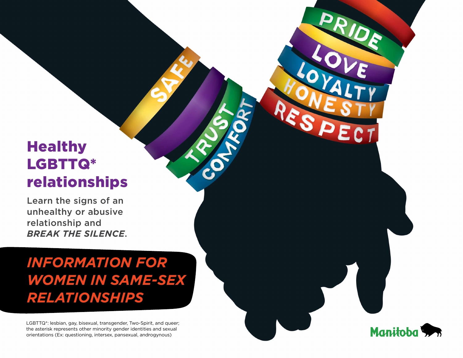# **Healthy** LGBTTQ\* relationships

Learn the signs of an unhealthy or abusive relationship and *break the silence*.

*Information for women in same-sex relationships*

LGBTTQ\*: lesbian, gay, bisexual, transgender, Two-Spirit, and queer; the asterisk represents other minority gender identities and sexual orientations (Ex: questioning, intersex, pansexual, androgynous)

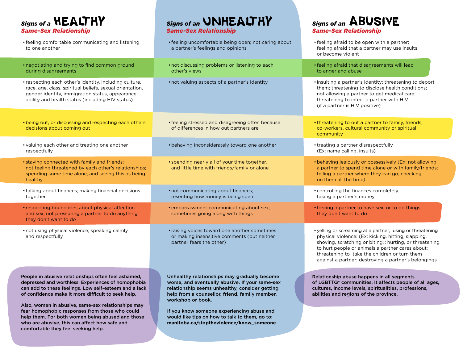**Signs of a <b>HEALTHY** *Same-Sex Relationship*

who are abusive, this can affect how safe and

comfortable they feel seeking help.

# **Signs of an UNHEALTHY** *Same-Sex Relationship*

**Signs of an ABUSIVE** *Same-Sex Relationship*

| • feeling comfortable communicating and listening<br>to one another                                                                                                                                                                                                                                                              | • feeling uncomfortable being open; not caring about<br>a partner's feelings and opinions                                                                                                                                                                              | • feeling afraid to be open with a partner;<br>feeling afraid that a partner may use insults<br>or become violent                                                                                                                                                                                                                        |
|----------------------------------------------------------------------------------------------------------------------------------------------------------------------------------------------------------------------------------------------------------------------------------------------------------------------------------|------------------------------------------------------------------------------------------------------------------------------------------------------------------------------------------------------------------------------------------------------------------------|------------------------------------------------------------------------------------------------------------------------------------------------------------------------------------------------------------------------------------------------------------------------------------------------------------------------------------------|
| • negotiating and trying to find common ground<br>during disagreements                                                                                                                                                                                                                                                           | • not discussing problems or listening to each<br>other's views                                                                                                                                                                                                        | • feeling afraid that disagreements will lead<br>to anger and abuse                                                                                                                                                                                                                                                                      |
| • respecting each other's identity, including culture,<br>race, age, class, spiritual beliefs, sexual orientation,<br>gender identity, immigration status, appearance,<br>ability and health status (including HIV status)                                                                                                       | • not valuing aspects of a partner's identity                                                                                                                                                                                                                          | · insulting a partner's identity; threatening to deport<br>them; threatening to disclose health conditions;<br>not allowing a partner to get medical care;<br>threatening to infect a partner with HIV<br>(if a partner is HIV positive)                                                                                                 |
| • being out, or discussing and respecting each others'<br>decisions about coming out                                                                                                                                                                                                                                             | • feeling stressed and disagreeing often because<br>of differences in how out partners are                                                                                                                                                                             | • threatening to out a partner to family, friends,<br>co-workers, cultural community or spiritual<br>community                                                                                                                                                                                                                           |
| • valuing each other and treating one another<br>respectfully                                                                                                                                                                                                                                                                    | • behaving inconsiderately toward one another                                                                                                                                                                                                                          | • treating a partner disrespectfully<br>(Ex: name calling, insults)                                                                                                                                                                                                                                                                      |
| • staying connected with family and friends;<br>not feeling threatened by each other's relationships;<br>spending some time alone, and seeing this as being<br>healthy                                                                                                                                                           | · spending nearly all of your time together,<br>and little time with friends/family or alone                                                                                                                                                                           | • behaving jealously or possessively (Ex: not allowing<br>a partner to spend time alone or with family/friends;<br>telling a partner where they can go; checking<br>on them all the time)                                                                                                                                                |
| • talking about finances; making financial decisions<br>together                                                                                                                                                                                                                                                                 | • not communicating about finances;<br>resenting how money is being spent                                                                                                                                                                                              | • controlling the finances completely;<br>taking a partner's money                                                                                                                                                                                                                                                                       |
| • respecting boundaries about physical affection<br>and sex; not pressuring a partner to do anything<br>they don't want to do                                                                                                                                                                                                    | • embarrassment communicating about sex;<br>sometimes going along with things                                                                                                                                                                                          | • forcing a partner to have sex, or to do things<br>they don't want to do                                                                                                                                                                                                                                                                |
| • not using physical violence; speaking calmly<br>and respectfully                                                                                                                                                                                                                                                               | • raising voices toward one another sometimes<br>or making insensitive comments (but neither<br>partner fears the other)                                                                                                                                               | • yelling or screaming at a partner; using or threatening<br>physical violence: (Ex: kicking, hitting, slapping,<br>shoving, scratching or biting); hurting, or threatening<br>to hurt people or animals a partner cares about;<br>threatening to take the children or turn them<br>against a partner; destroying a partner's belongings |
| People in abusive relationships often feel ashamed,<br>depressed and worthless. Experiences of homophobia<br>can add to these feelings. Low self-esteem and a lack<br>of confidence make it more difficult to seek help.<br>Also, women in abusive, same-sex relationships may<br>fear homophobic responses from those who could | Unhealthy relationships may gradually become<br>worse, and eventually abusive. If your same-sex<br>relationship seems unhealthy, consider getting<br>help from a counsellor, friend, family member,<br>workshop or book.<br>If you know someone experiencing abuse and | Relationship abuse happens in all segments<br>of LGBTTQ* communities. It affects people of all ages,<br>cultures, income levels, spiritualities, professions,<br>abilities and regions of the province.                                                                                                                                  |
| help them. For both women being abused and those                                                                                                                                                                                                                                                                                 | would like tips on how to talk to them, go to:                                                                                                                                                                                                                         |                                                                                                                                                                                                                                                                                                                                          |

**manitoba.ca/stoptheviolence/know\_someone**